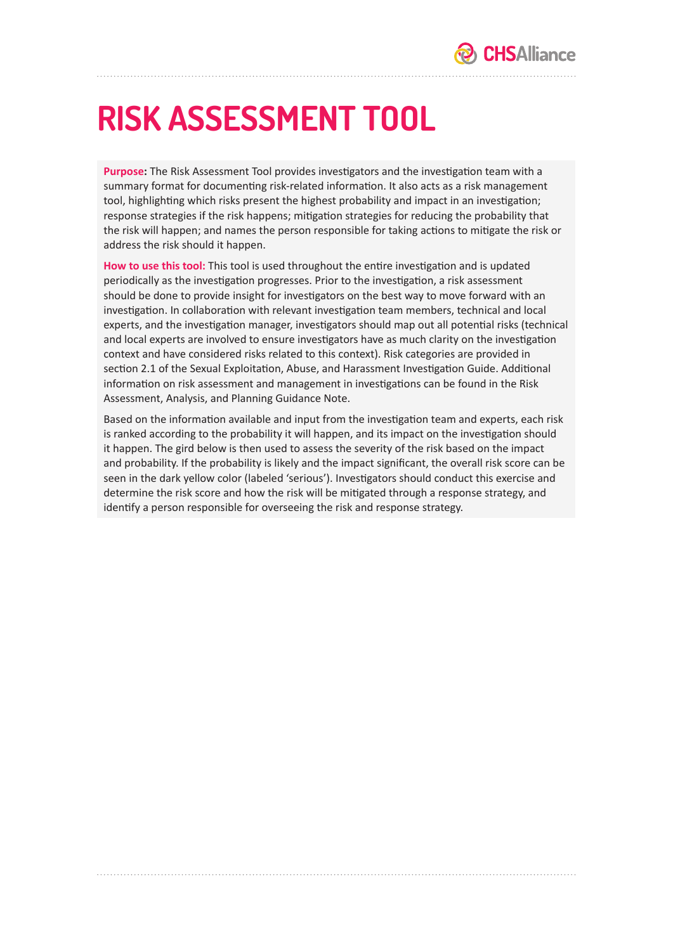# **RISK ASSESSMENT TOOL**

**Purpose:** The Risk Assessment Tool provides investigators and the investigation team with a summary format for documenting risk-related information. It also acts as a risk management tool, highlighting which risks present the highest probability and impact in an investigation; response strategies if the risk happens; mitigation strategies for reducing the probability that the risk will happen; and names the person responsible for taking actions to mitigate the risk or address the risk should it happen.

**How to use this tool:** This tool is used throughout the entire investigation and is updated periodically as the investigation progresses. Prior to the investigation, a risk assessment should be done to provide insight for investigators on the best way to move forward with an investigation. In collaboration with relevant investigation team members, technical and local experts, and the investigation manager, investigators should map out all potential risks (technical and local experts are involved to ensure investigators have as much clarity on the investigation context and have considered risks related to this context). Risk categories are provided in section 2.1 of the Sexual Exploitation, Abuse, and Harassment Investigation Guide. Additional information on risk assessment and management in investigations can be found in the Risk Assessment, Analysis, and Planning Guidance Note.

Based on the information available and input from the investigation team and experts, each risk is ranked according to the probability it will happen, and its impact on the investigation should it happen. The gird below is then used to assess the severity of the risk based on the impact and probability. If the probability is likely and the impact significant, the overall risk score can be seen in the dark yellow color (labeled 'serious'). Investigators should conduct this exercise and determine the risk score and how the risk will be mitigated through a response strategy, and identify a person responsible for overseeing the risk and response strategy.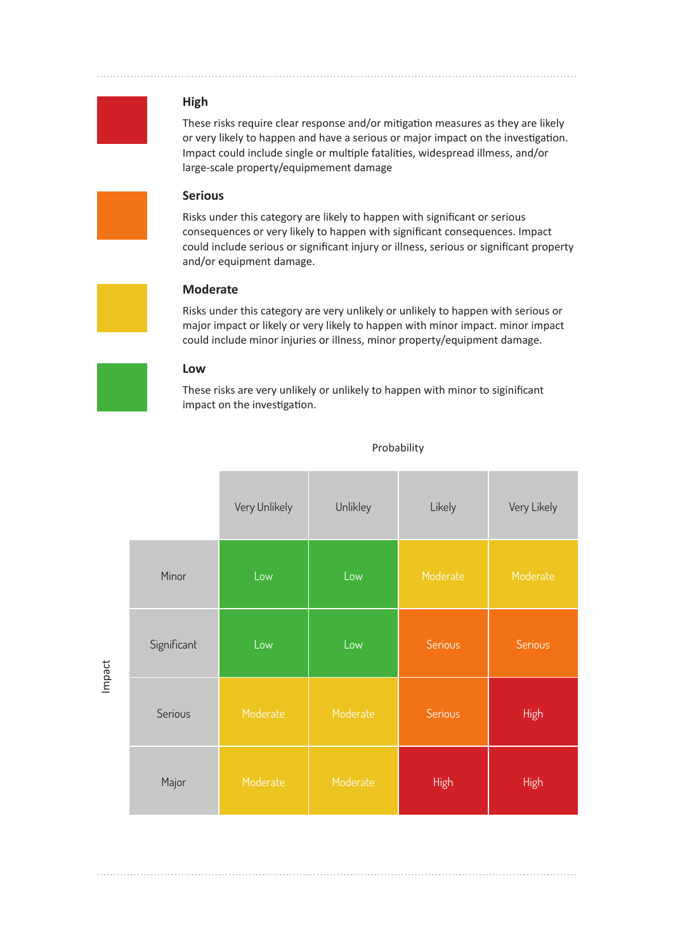

#### **High**

These risks require clear response and/or mitigation measures as they are likely or very likely to happen and have a serious or major impact on the investigation. Impact could include single or multiple fatalities, widespread illmess, and/or large-scale property/equipmement damage

## **Serious**

Risks under this category are likely to happen with significant or serious consequences or very likely to happen with significant consequences. Impact could include serious or significant injury or illness, serious or significant property and/or equipment damage.

## **Moderate**

Risks under this category are very unlikely or unlikely to happen with serious or major impact or likely or very likely to happen with minor impact. minor impact could include minor injuries or illness, minor property/equipment damage.

#### **Low**

These risks are very unlikely or unlikely to happen with minor to siginificant impact on the investigation.

|             | Very Unlikely    | Unlikley | Likely      | Very Likely    |
|-------------|------------------|----------|-------------|----------------|
| Minor       | Low <sup>'</sup> | Low      | Moderate    | Moderate       |
| Significant | Low              | Low      | Serious     | <b>Serious</b> |
| Serious     | Moderate         | Moderate | Serious     | <b>High</b>    |
| Major       | Moderate         | Moderate | <b>High</b> | <b>High</b>    |

Probability

Impact